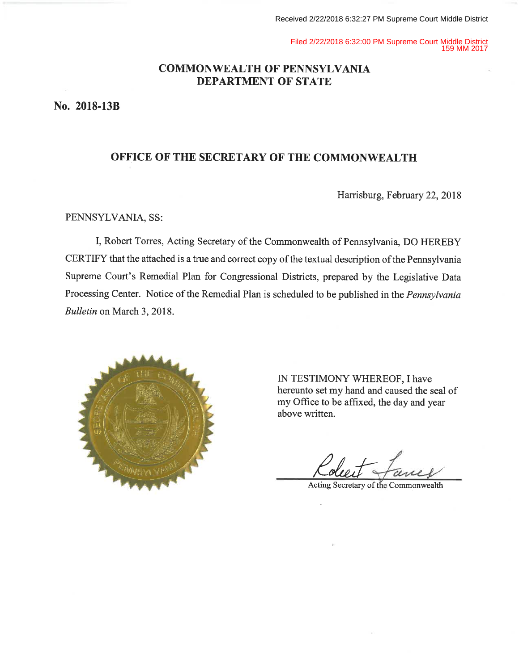Filed 2/22/2018 6:32:00 PM Supreme Court Middle District 159 MM 2017

# **COMMONWEALTH OF PENNSYLVANIA DEPARTMENT OF STATE**

No. 2018-13B

# OFFICE OF THE SECRETARY OF THE COMMONWEALTH

Harrisburg, February 22, 2018

## PENNSYLVANIA, SS:

I, Robert Torres, Acting Secretary of the Commonwealth of Pennsylvania, DO HEREBY CERTIFY that the attached is a true and correct copy of the textual description of the Pennsylvania Supreme Court's Remedial Plan for Congressional Districts, prepared by the Legislative Data Processing Center. Notice of the Remedial Plan is scheduled to be published in the Pennsylvania Bulletin on March 3, 2018.



IN TESTIMONY WHEREOF, I have hereunto set my hand and caused the seal of my Office to be affixed, the day and year above written.

Acting Secretary of the Commonwealth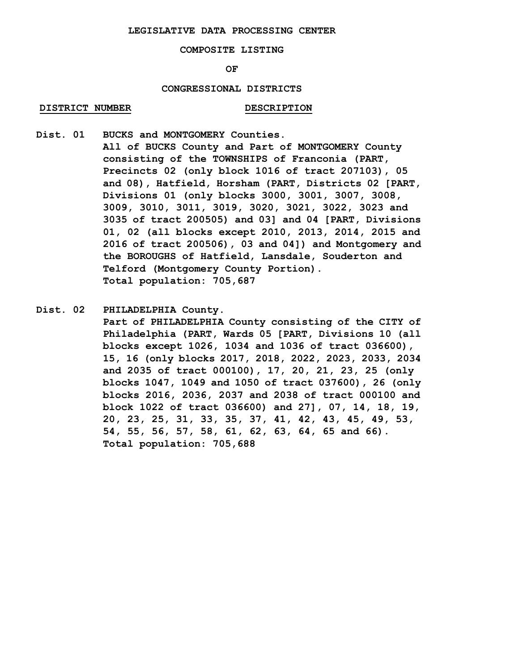#### **LEGISLATIVE DATA PROCESSING CENTER**

### **COMPOSITE LISTING**

**OF**

## **CONGRESSIONAL DISTRICTS**

#### **DISTRICT NUMBER DESCRIPTION**

- **Dist. 01 BUCKS and MONTGOMERY Counties. All of BUCKS County and Part of MONTGOMERY County consisting of the TOWNSHIPS of Franconia (PART, Precincts 02 (only block 1016 of tract 207103), 05 and 08), Hatfield, Horsham (PART, Districts 02 [PART, Divisions 01 (only blocks 3000, 3001, 3007, 3008, 3009, 3010, 3011, 3019, 3020, 3021, 3022, 3023 and 3035 of tract 200505) and 03] and 04 [PART, Divisions 01, 02 (all blocks except 2010, 2013, 2014, 2015 and 2016 of tract 200506), 03 and 04]) and Montgomery and the BOROUGHS of Hatfield, Lansdale, Souderton and Telford (Montgomery County Portion). Total population: 705,687**
- **Dist. 02 PHILADELPHIA County. Part of PHILADELPHIA County consisting of the CITY of Philadelphia (PART, Wards 05 [PART, Divisions 10 (all blocks except 1026, 1034 and 1036 of tract 036600), 15, 16 (only blocks 2017, 2018, 2022, 2023, 2033, 2034 and 2035 of tract 000100), 17, 20, 21, 23, 25 (only blocks 1047, 1049 and 1050 of tract 037600), 26 (only blocks 2016, 2036, 2037 and 2038 of tract 000100 and block 1022 of tract 036600) and 27], 07, 14, 18, 19, 20, 23, 25, 31, 33, 35, 37, 41, 42, 43, 45, 49, 53, 54, 55, 56, 57, 58, 61, 62, 63, 64, 65 and 66). Total population: 705,688**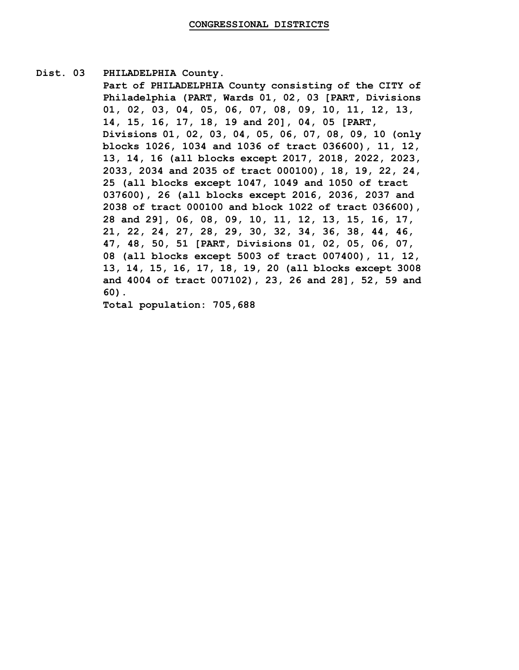## **Dist. 03 PHILADELPHIA County.**

**Part of PHILADELPHIA County consisting of the CITY of Philadelphia (PART, Wards 01, 02, 03 [PART, Divisions 01, 02, 03, 04, 05, 06, 07, 08, 09, 10, 11, 12, 13, 14, 15, 16, 17, 18, 19 and 20], 04, 05 [PART, Divisions 01, 02, 03, 04, 05, 06, 07, 08, 09, 10 (only blocks 1026, 1034 and 1036 of tract 036600), 11, 12, 13, 14, 16 (all blocks except 2017, 2018, 2022, 2023, 2033, 2034 and 2035 of tract 000100), 18, 19, 22, 24, 25 (all blocks except 1047, 1049 and 1050 of tract 037600), 26 (all blocks except 2016, 2036, 2037 and 2038 of tract 000100 and block 1022 of tract 036600), 28 and 29], 06, 08, 09, 10, 11, 12, 13, 15, 16, 17, 21, 22, 24, 27, 28, 29, 30, 32, 34, 36, 38, 44, 46, 47, 48, 50, 51 [PART, Divisions 01, 02, 05, 06, 07, 08 (all blocks except 5003 of tract 007400), 11, 12, 13, 14, 15, 16, 17, 18, 19, 20 (all blocks except 3008 and 4004 of tract 007102), 23, 26 and 28], 52, 59 and 60).**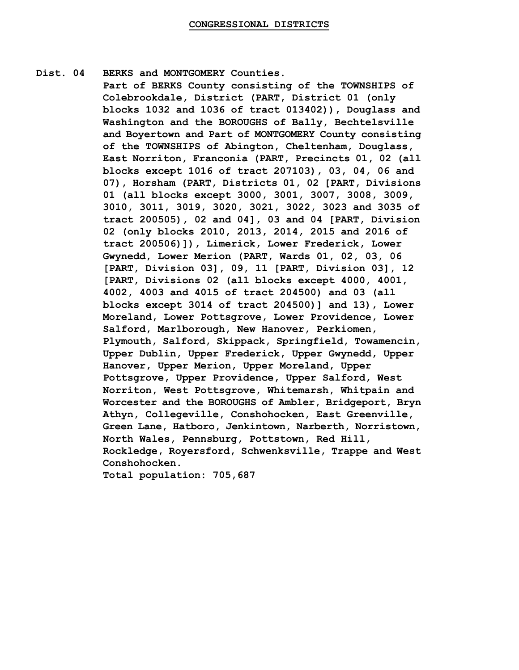**Dist. 04 BERKS and MONTGOMERY Counties.**

**Part of BERKS County consisting of the TOWNSHIPS of Colebrookdale, District (PART, District 01 (only blocks 1032 and 1036 of tract 013402)), Douglass and Washington and the BOROUGHS of Bally, Bechtelsville and Boyertown and Part of MONTGOMERY County consisting of the TOWNSHIPS of Abington, Cheltenham, Douglass, East Norriton, Franconia (PART, Precincts 01, 02 (all blocks except 1016 of tract 207103), 03, 04, 06 and 07), Horsham (PART, Districts 01, 02 [PART, Divisions 01 (all blocks except 3000, 3001, 3007, 3008, 3009, 3010, 3011, 3019, 3020, 3021, 3022, 3023 and 3035 of tract 200505), 02 and 04], 03 and 04 [PART, Division 02 (only blocks 2010, 2013, 2014, 2015 and 2016 of tract 200506)]), Limerick, Lower Frederick, Lower Gwynedd, Lower Merion (PART, Wards 01, 02, 03, 06 [PART, Division 03], 09, 11 [PART, Division 03], 12 [PART, Divisions 02 (all blocks except 4000, 4001, 4002, 4003 and 4015 of tract 204500) and 03 (all blocks except 3014 of tract 204500)] and 13), Lower Moreland, Lower Pottsgrove, Lower Providence, Lower Salford, Marlborough, New Hanover, Perkiomen, Plymouth, Salford, Skippack, Springfield, Towamencin, Upper Dublin, Upper Frederick, Upper Gwynedd, Upper Hanover, Upper Merion, Upper Moreland, Upper Pottsgrove, Upper Providence, Upper Salford, West Norriton, West Pottsgrove, Whitemarsh, Whitpain and Worcester and the BOROUGHS of Ambler, Bridgeport, Bryn Athyn, Collegeville, Conshohocken, East Greenville, Green Lane, Hatboro, Jenkintown, Narberth, Norristown, North Wales, Pennsburg, Pottstown, Red Hill, Rockledge, Royersford, Schwenksville, Trappe and West Conshohocken.**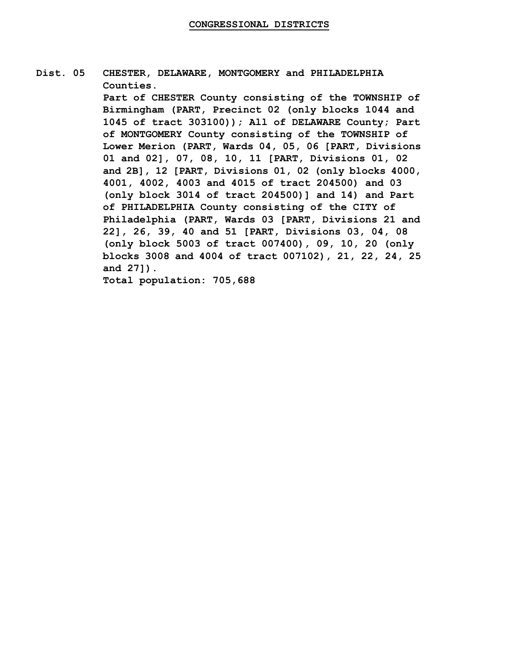**CHESTER, DELAWARE, MONTGOMERY and PHILADELPHIA Counties. Dist. 05**

> **Part of CHESTER County consisting of the TOWNSHIP of Birmingham (PART, Precinct 02 (only blocks 1044 and 1045 of tract 303100)); All of DELAWARE County; Part of MONTGOMERY County consisting of the TOWNSHIP of Lower Merion (PART, Wards 04, 05, 06 [PART, Divisions 01 and 02], 07, 08, 10, 11 [PART, Divisions 01, 02 and 2B], 12 [PART, Divisions 01, 02 (only blocks 4000, 4001, 4002, 4003 and 4015 of tract 204500) and 03 (only block 3014 of tract 204500)] and 14) and Part of PHILADELPHIA County consisting of the CITY of Philadelphia (PART, Wards 03 [PART, Divisions 21 and 22], 26, 39, 40 and 51 [PART, Divisions 03, 04, 08 (only block 5003 of tract 007400), 09, 10, 20 (only blocks 3008 and 4004 of tract 007102), 21, 22, 24, 25 and 27]).**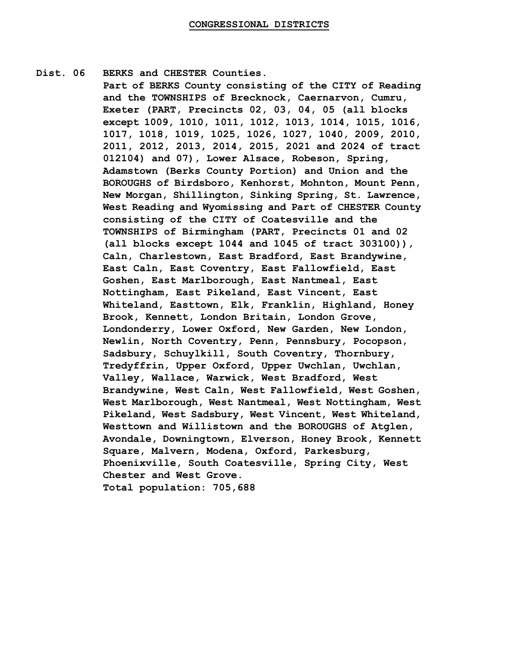- **Dist. 06 BERKS and CHESTER Counties.**
	- **Part of BERKS County consisting of the CITY of Reading and the TOWNSHIPS of Brecknock, Caernarvon, Cumru, Exeter (PART, Precincts 02, 03, 04, 05 (all blocks except 1009, 1010, 1011, 1012, 1013, 1014, 1015, 1016, 1017, 1018, 1019, 1025, 1026, 1027, 1040, 2009, 2010, 2011, 2012, 2013, 2014, 2015, 2021 and 2024 of tract 012104) and 07), Lower Alsace, Robeson, Spring, Adamstown (Berks County Portion) and Union and the BOROUGHS of Birdsboro, Kenhorst, Mohnton, Mount Penn, New Morgan, Shillington, Sinking Spring, St. Lawrence, West Reading and Wyomissing and Part of CHESTER County consisting of the CITY of Coatesville and the TOWNSHIPS of Birmingham (PART, Precincts 01 and 02 (all blocks except 1044 and 1045 of tract 303100)), Caln, Charlestown, East Bradford, East Brandywine, East Caln, East Coventry, East Fallowfield, East Goshen, East Marlborough, East Nantmeal, East Nottingham, East Pikeland, East Vincent, East Whiteland, Easttown, Elk, Franklin, Highland, Honey Brook, Kennett, London Britain, London Grove, Londonderry, Lower Oxford, New Garden, New London, Newlin, North Coventry, Penn, Pennsbury, Pocopson, Sadsbury, Schuylkill, South Coventry, Thornbury, Tredyffrin, Upper Oxford, Upper Uwchlan, Uwchlan, Valley, Wallace, Warwick, West Bradford, West Brandywine, West Caln, West Fallowfield, West Goshen, West Marlborough, West Nantmeal, West Nottingham, West Pikeland, West Sadsbury, West Vincent, West Whiteland, Westtown and Willistown and the BOROUGHS of Atglen, Avondale, Downingtown, Elverson, Honey Brook, Kennett Square, Malvern, Modena, Oxford, Parkesburg, Phoenixville, South Coatesville, Spring City, West Chester and West Grove. Total population: 705,688**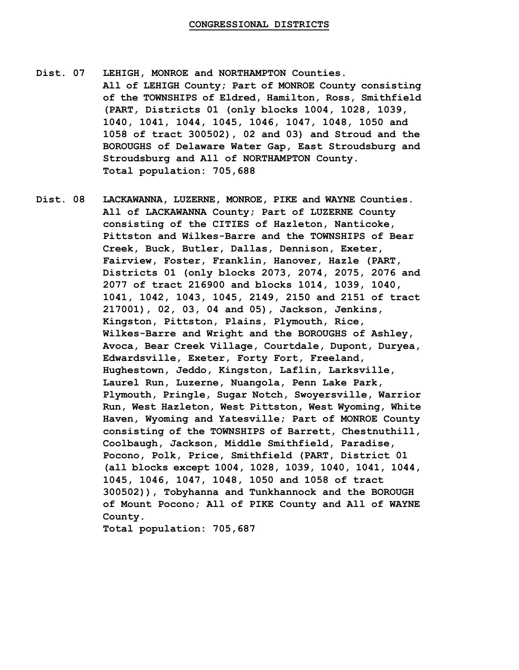- **Dist. 07 LEHIGH, MONROE and NORTHAMPTON Counties.**
	- **All of LEHIGH County; Part of MONROE County consisting of the TOWNSHIPS of Eldred, Hamilton, Ross, Smithfield (PART, Districts 01 (only blocks 1004, 1028, 1039, 1040, 1041, 1044, 1045, 1046, 1047, 1048, 1050 and 1058 of tract 300502), 02 and 03) and Stroud and the BOROUGHS of Delaware Water Gap, East Stroudsburg and Stroudsburg and All of NORTHAMPTON County. Total population: 705,688**
- **Dist. 08 LACKAWANNA, LUZERNE, MONROE, PIKE and WAYNE Counties. All of LACKAWANNA County; Part of LUZERNE County consisting of the CITIES of Hazleton, Nanticoke, Pittston and Wilkes-Barre and the TOWNSHIPS of Bear Creek, Buck, Butler, Dallas, Dennison, Exeter, Fairview, Foster, Franklin, Hanover, Hazle (PART, Districts 01 (only blocks 2073, 2074, 2075, 2076 and 2077 of tract 216900 and blocks 1014, 1039, 1040, 1041, 1042, 1043, 1045, 2149, 2150 and 2151 of tract 217001), 02, 03, 04 and 05), Jackson, Jenkins, Kingston, Pittston, Plains, Plymouth, Rice, Wilkes-Barre and Wright and the BOROUGHS of Ashley, Avoca, Bear Creek Village, Courtdale, Dupont, Duryea, Edwardsville, Exeter, Forty Fort, Freeland, Hughestown, Jeddo, Kingston, Laflin, Larksville, Laurel Run, Luzerne, Nuangola, Penn Lake Park, Plymouth, Pringle, Sugar Notch, Swoyersville, Warrior Run, West Hazleton, West Pittston, West Wyoming, White Haven, Wyoming and Yatesville; Part of MONROE County consisting of the TOWNSHIPS of Barrett, Chestnuthill, Coolbaugh, Jackson, Middle Smithfield, Paradise, Pocono, Polk, Price, Smithfield (PART, District 01 (all blocks except 1004, 1028, 1039, 1040, 1041, 1044, 1045, 1046, 1047, 1048, 1050 and 1058 of tract 300502)), Tobyhanna and Tunkhannock and the BOROUGH of Mount Pocono; All of PIKE County and All of WAYNE County.**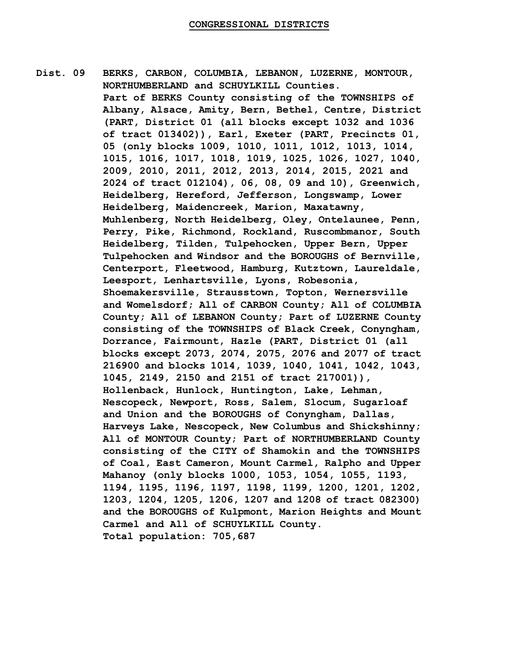**BERKS, CARBON, COLUMBIA, LEBANON, LUZERNE, MONTOUR,**

**Dist. 09**

**NORTHUMBERLAND and SCHUYLKILL Counties. Part of BERKS County consisting of the TOWNSHIPS of Albany, Alsace, Amity, Bern, Bethel, Centre, District (PART, District 01 (all blocks except 1032 and 1036 of tract 013402)), Earl, Exeter (PART, Precincts 01, 05 (only blocks 1009, 1010, 1011, 1012, 1013, 1014, 1015, 1016, 1017, 1018, 1019, 1025, 1026, 1027, 1040, 2009, 2010, 2011, 2012, 2013, 2014, 2015, 2021 and 2024 of tract 012104), 06, 08, 09 and 10), Greenwich, Heidelberg, Hereford, Jefferson, Longswamp, Lower Heidelberg, Maidencreek, Marion, Maxatawny, Muhlenberg, North Heidelberg, Oley, Ontelaunee, Penn, Perry, Pike, Richmond, Rockland, Ruscombmanor, South Heidelberg, Tilden, Tulpehocken, Upper Bern, Upper Tulpehocken and Windsor and the BOROUGHS of Bernville, Centerport, Fleetwood, Hamburg, Kutztown, Laureldale, Leesport, Lenhartsville, Lyons, Robesonia, Shoemakersville, Strausstown, Topton, Wernersville and Womelsdorf; All of CARBON County; All of COLUMBIA County; All of LEBANON County; Part of LUZERNE County consisting of the TOWNSHIPS of Black Creek, Conyngham, Dorrance, Fairmount, Hazle (PART, District 01 (all blocks except 2073, 2074, 2075, 2076 and 2077 of tract 216900 and blocks 1014, 1039, 1040, 1041, 1042, 1043, 1045, 2149, 2150 and 2151 of tract 217001)), Hollenback, Hunlock, Huntington, Lake, Lehman, Nescopeck, Newport, Ross, Salem, Slocum, Sugarloaf and Union and the BOROUGHS of Conyngham, Dallas, Harveys Lake, Nescopeck, New Columbus and Shickshinny; All of MONTOUR County; Part of NORTHUMBERLAND County consisting of the CITY of Shamokin and the TOWNSHIPS of Coal, East Cameron, Mount Carmel, Ralpho and Upper Mahanoy (only blocks 1000, 1053, 1054, 1055, 1193, 1194, 1195, 1196, 1197, 1198, 1199, 1200, 1201, 1202, 1203, 1204, 1205, 1206, 1207 and 1208 of tract 082300) and the BOROUGHS of Kulpmont, Marion Heights and Mount Carmel and All of SCHUYLKILL County. Total population: 705,687**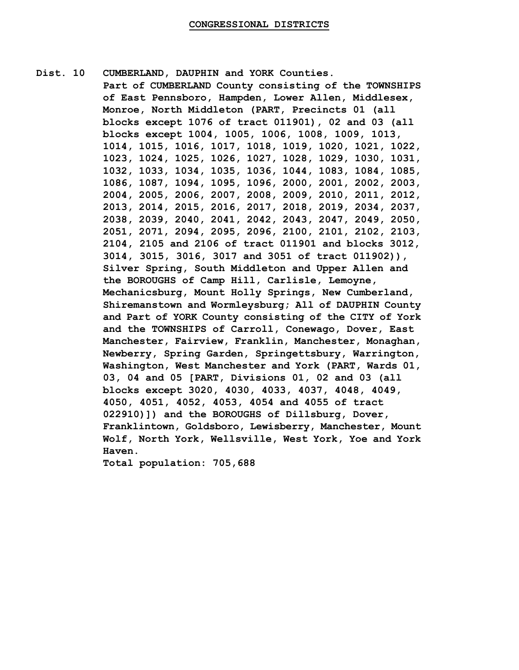**Dist. 10 CUMBERLAND, DAUPHIN and YORK Counties.**

**Part of CUMBERLAND County consisting of the TOWNSHIPS of East Pennsboro, Hampden, Lower Allen, Middlesex, Monroe, North Middleton (PART, Precincts 01 (all blocks except 1076 of tract 011901), 02 and 03 (all blocks except 1004, 1005, 1006, 1008, 1009, 1013, 1014, 1015, 1016, 1017, 1018, 1019, 1020, 1021, 1022, 1023, 1024, 1025, 1026, 1027, 1028, 1029, 1030, 1031, 1032, 1033, 1034, 1035, 1036, 1044, 1083, 1084, 1085, 1086, 1087, 1094, 1095, 1096, 2000, 2001, 2002, 2003, 2004, 2005, 2006, 2007, 2008, 2009, 2010, 2011, 2012, 2013, 2014, 2015, 2016, 2017, 2018, 2019, 2034, 2037, 2038, 2039, 2040, 2041, 2042, 2043, 2047, 2049, 2050, 2051, 2071, 2094, 2095, 2096, 2100, 2101, 2102, 2103, 2104, 2105 and 2106 of tract 011901 and blocks 3012, 3014, 3015, 3016, 3017 and 3051 of tract 011902)), Silver Spring, South Middleton and Upper Allen and the BOROUGHS of Camp Hill, Carlisle, Lemoyne, Mechanicsburg, Mount Holly Springs, New Cumberland, Shiremanstown and Wormleysburg; All of DAUPHIN County and Part of YORK County consisting of the CITY of York and the TOWNSHIPS of Carroll, Conewago, Dover, East Manchester, Fairview, Franklin, Manchester, Monaghan, Newberry, Spring Garden, Springettsbury, Warrington, Washington, West Manchester and York (PART, Wards 01, 03, 04 and 05 [PART, Divisions 01, 02 and 03 (all blocks except 3020, 4030, 4033, 4037, 4048, 4049, 4050, 4051, 4052, 4053, 4054 and 4055 of tract 022910)]) and the BOROUGHS of Dillsburg, Dover, Franklintown, Goldsboro, Lewisberry, Manchester, Mount Wolf, North York, Wellsville, West York, Yoe and York Haven.**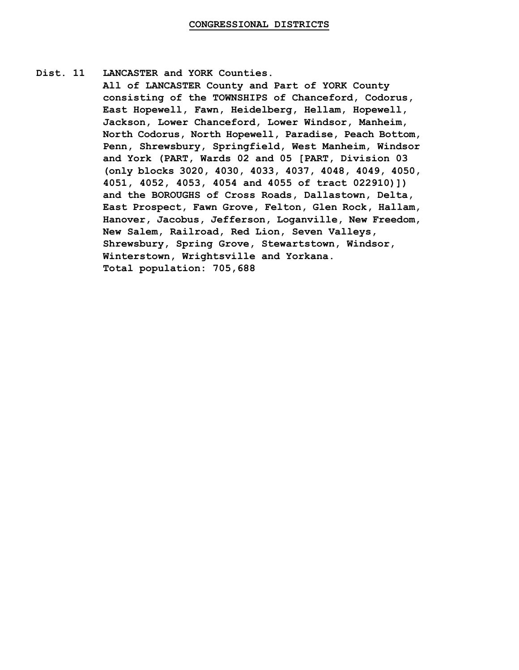- **Dist. 11 LANCASTER and YORK Counties.**
	- **All of LANCASTER County and Part of YORK County consisting of the TOWNSHIPS of Chanceford, Codorus, East Hopewell, Fawn, Heidelberg, Hellam, Hopewell, Jackson, Lower Chanceford, Lower Windsor, Manheim, North Codorus, North Hopewell, Paradise, Peach Bottom, Penn, Shrewsbury, Springfield, West Manheim, Windsor and York (PART, Wards 02 and 05 [PART, Division 03 (only blocks 3020, 4030, 4033, 4037, 4048, 4049, 4050, 4051, 4052, 4053, 4054 and 4055 of tract 022910)]) and the BOROUGHS of Cross Roads, Dallastown, Delta, East Prospect, Fawn Grove, Felton, Glen Rock, Hallam, Hanover, Jacobus, Jefferson, Loganville, New Freedom, New Salem, Railroad, Red Lion, Seven Valleys, Shrewsbury, Spring Grove, Stewartstown, Windsor, Winterstown, Wrightsville and Yorkana. Total population: 705,688**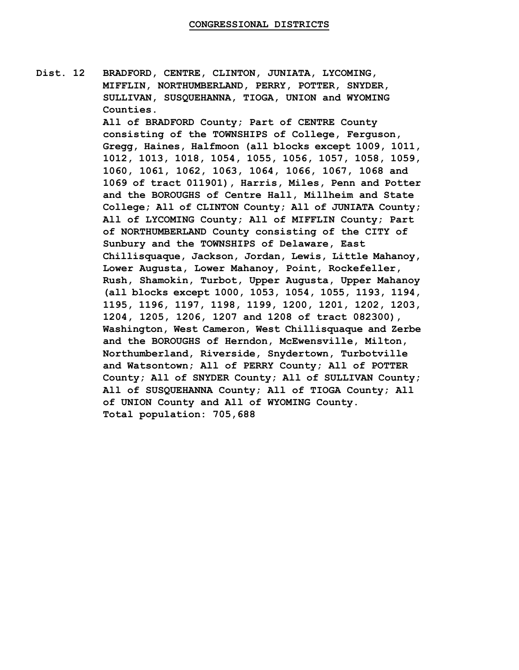**BRADFORD, CENTRE, CLINTON, JUNIATA, LYCOMING, MIFFLIN, NORTHUMBERLAND, PERRY, POTTER, SNYDER, SULLIVAN, SUSQUEHANNA, TIOGA, UNION and WYOMING Counties. Dist. 12 All of BRADFORD County; Part of CENTRE County consisting of the TOWNSHIPS of College, Ferguson, Gregg, Haines, Halfmoon (all blocks except 1009, 1011, 1012, 1013, 1018, 1054, 1055, 1056, 1057, 1058, 1059, 1060, 1061, 1062, 1063, 1064, 1066, 1067, 1068 and 1069 of tract 011901), Harris, Miles, Penn and Potter and the BOROUGHS of Centre Hall, Millheim and State College; All of CLINTON County; All of JUNIATA County; All of LYCOMING County; All of MIFFLIN County; Part of NORTHUMBERLAND County consisting of the CITY of Sunbury and the TOWNSHIPS of Delaware, East Chillisquaque, Jackson, Jordan, Lewis, Little Mahanoy, Lower Augusta, Lower Mahanoy, Point, Rockefeller, Rush, Shamokin, Turbot, Upper Augusta, Upper Mahanoy (all blocks except 1000, 1053, 1054, 1055, 1193, 1194, 1195, 1196, 1197, 1198, 1199, 1200, 1201, 1202, 1203, 1204, 1205, 1206, 1207 and 1208 of tract 082300), Washington, West Cameron, West Chillisquaque and Zerbe and the BOROUGHS of Herndon, McEwensville, Milton, Northumberland, Riverside, Snydertown, Turbotville and Watsontown; All of PERRY County; All of POTTER County; All of SNYDER County; All of SULLIVAN County; All of SUSQUEHANNA County; All of TIOGA County; All of UNION County and All of WYOMING County. Total population: 705,688**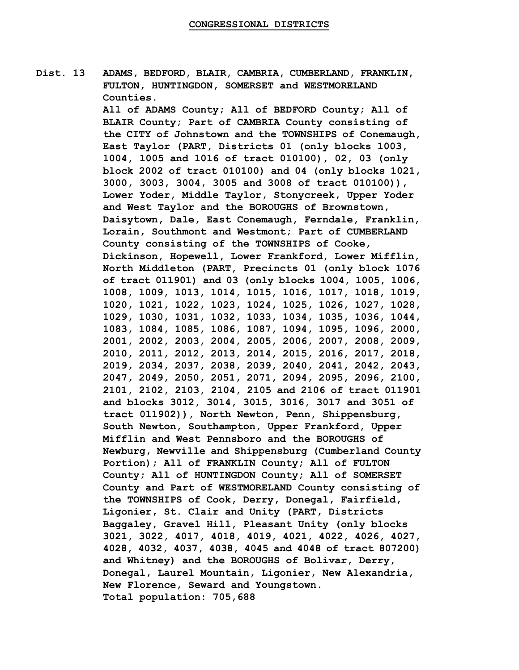**ADAMS, BEDFORD, BLAIR, CAMBRIA, CUMBERLAND, FRANKLIN, FULTON, HUNTINGDON, SOMERSET and WESTMORELAND Counties. Dist. 13**

> **All of ADAMS County; All of BEDFORD County; All of BLAIR County; Part of CAMBRIA County consisting of the CITY of Johnstown and the TOWNSHIPS of Conemaugh, East Taylor (PART, Districts 01 (only blocks 1003, 1004, 1005 and 1016 of tract 010100), 02, 03 (only block 2002 of tract 010100) and 04 (only blocks 1021, 3000, 3003, 3004, 3005 and 3008 of tract 010100)), Lower Yoder, Middle Taylor, Stonycreek, Upper Yoder and West Taylor and the BOROUGHS of Brownstown, Daisytown, Dale, East Conemaugh, Ferndale, Franklin, Lorain, Southmont and Westmont; Part of CUMBERLAND County consisting of the TOWNSHIPS of Cooke, Dickinson, Hopewell, Lower Frankford, Lower Mifflin, North Middleton (PART, Precincts 01 (only block 1076 of tract 011901) and 03 (only blocks 1004, 1005, 1006, 1008, 1009, 1013, 1014, 1015, 1016, 1017, 1018, 1019, 1020, 1021, 1022, 1023, 1024, 1025, 1026, 1027, 1028, 1029, 1030, 1031, 1032, 1033, 1034, 1035, 1036, 1044, 1083, 1084, 1085, 1086, 1087, 1094, 1095, 1096, 2000, 2001, 2002, 2003, 2004, 2005, 2006, 2007, 2008, 2009, 2010, 2011, 2012, 2013, 2014, 2015, 2016, 2017, 2018, 2019, 2034, 2037, 2038, 2039, 2040, 2041, 2042, 2043, 2047, 2049, 2050, 2051, 2071, 2094, 2095, 2096, 2100, 2101, 2102, 2103, 2104, 2105 and 2106 of tract 011901 and blocks 3012, 3014, 3015, 3016, 3017 and 3051 of tract 011902)), North Newton, Penn, Shippensburg, South Newton, Southampton, Upper Frankford, Upper Mifflin and West Pennsboro and the BOROUGHS of Newburg, Newville and Shippensburg (Cumberland County Portion); All of FRANKLIN County; All of FULTON County; All of HUNTINGDON County; All of SOMERSET County and Part of WESTMORELAND County consisting of the TOWNSHIPS of Cook, Derry, Donegal, Fairfield, Ligonier, St. Clair and Unity (PART, Districts Baggaley, Gravel Hill, Pleasant Unity (only blocks 3021, 3022, 4017, 4018, 4019, 4021, 4022, 4026, 4027, 4028, 4032, 4037, 4038, 4045 and 4048 of tract 807200) and Whitney) and the BOROUGHS of Bolivar, Derry, Donegal, Laurel Mountain, Ligonier, New Alexandria, New Florence, Seward and Youngstown. Total population: 705,688**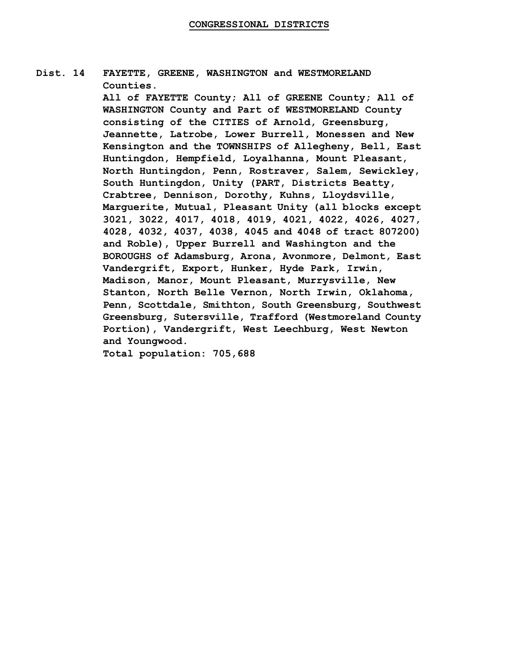**FAYETTE, GREENE, WASHINGTON and WESTMORELAND Counties. Dist. 14**

> **All of FAYETTE County; All of GREENE County; All of WASHINGTON County and Part of WESTMORELAND County consisting of the CITIES of Arnold, Greensburg, Jeannette, Latrobe, Lower Burrell, Monessen and New Kensington and the TOWNSHIPS of Allegheny, Bell, East Huntingdon, Hempfield, Loyalhanna, Mount Pleasant, North Huntingdon, Penn, Rostraver, Salem, Sewickley, South Huntingdon, Unity (PART, Districts Beatty, Crabtree, Dennison, Dorothy, Kuhns, Lloydsville, Marguerite, Mutual, Pleasant Unity (all blocks except 3021, 3022, 4017, 4018, 4019, 4021, 4022, 4026, 4027, 4028, 4032, 4037, 4038, 4045 and 4048 of tract 807200) and Roble), Upper Burrell and Washington and the BOROUGHS of Adamsburg, Arona, Avonmore, Delmont, East Vandergrift, Export, Hunker, Hyde Park, Irwin, Madison, Manor, Mount Pleasant, Murrysville, New Stanton, North Belle Vernon, North Irwin, Oklahoma, Penn, Scottdale, Smithton, South Greensburg, Southwest Greensburg, Sutersville, Trafford (Westmoreland County Portion), Vandergrift, West Leechburg, West Newton and Youngwood.**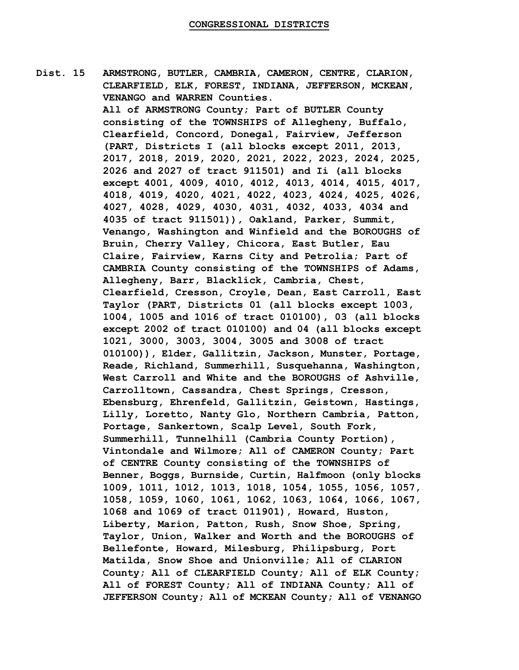**ARMSTRONG, BUTLER, CAMBRIA, CAMERON, CENTRE, CLARION, CLEARFIELD, ELK, FOREST, INDIANA, JEFFERSON, MCKEAN, VENANGO and WARREN Counties. Dist. 15 All of ARMSTRONG County; Part of BUTLER County consisting of the TOWNSHIPS of Allegheny, Buffalo, Clearfield, Concord, Donegal, Fairview, Jefferson (PART, Districts I (all blocks except 2011, 2013, 2017, 2018, 2019, 2020, 2021, 2022, 2023, 2024, 2025, 2026 and 2027 of tract 911501) and Ii (all blocks except 4001, 4009, 4010, 4012, 4013, 4014, 4015, 4017, 4018, 4019, 4020, 4021, 4022, 4023, 4024, 4025, 4026, 4027, 4028, 4029, 4030, 4031, 4032, 4033, 4034 and 4035 of tract 911501)), Oakland, Parker, Summit, Venango, Washington and Winfield and the BOROUGHS of Bruin, Cherry Valley, Chicora, East Butler, Eau Claire, Fairview, Karns City and Petrolia; Part of CAMBRIA County consisting of the TOWNSHIPS of Adams, Allegheny, Barr, Blacklick, Cambria, Chest, Clearfield, Cresson, Croyle, Dean, East Carroll, East Taylor (PART, Districts 01 (all blocks except 1003, 1004, 1005 and 1016 of tract 010100), 03 (all blocks except 2002 of tract 010100) and 04 (all blocks except 1021, 3000, 3003, 3004, 3005 and 3008 of tract 010100)), Elder, Gallitzin, Jackson, Munster, Portage, Reade, Richland, Summerhill, Susquehanna, Washington, West Carroll and White and the BOROUGHS of Ashville, Carrolltown, Cassandra, Chest Springs, Cresson, Ebensburg, Ehrenfeld, Gallitzin, Geistown, Hastings, Lilly, Loretto, Nanty Glo, Northern Cambria, Patton, Portage, Sankertown, Scalp Level, South Fork, Summerhill, Tunnelhill (Cambria County Portion), Vintondale and Wilmore; All of CAMERON County; Part of CENTRE County consisting of the TOWNSHIPS of Benner, Boggs, Burnside, Curtin, Halfmoon (only blocks 1009, 1011, 1012, 1013, 1018, 1054, 1055, 1056, 1057, 1058, 1059, 1060, 1061, 1062, 1063, 1064, 1066, 1067, 1068 and 1069 of tract 011901), Howard, Huston, Liberty, Marion, Patton, Rush, Snow Shoe, Spring, Taylor, Union, Walker and Worth and the BOROUGHS of Bellefonte, Howard, Milesburg, Philipsburg, Port Matilda, Snow Shoe and Unionville; All of CLARION County; All of CLEARFIELD County; All of ELK County; All of FOREST County; All of INDIANA County; All of JEFFERSON County; All of MCKEAN County; All of VENANGO**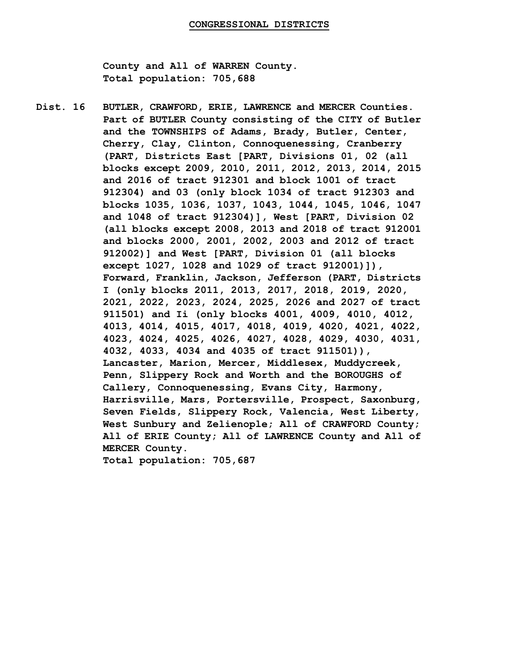**County and All of WARREN County. Total population: 705,688**

**Dist. 16 BUTLER, CRAWFORD, ERIE, LAWRENCE and MERCER Counties. Part of BUTLER County consisting of the CITY of Butler and the TOWNSHIPS of Adams, Brady, Butler, Center, Cherry, Clay, Clinton, Connoquenessing, Cranberry (PART, Districts East [PART, Divisions 01, 02 (all blocks except 2009, 2010, 2011, 2012, 2013, 2014, 2015 and 2016 of tract 912301 and block 1001 of tract 912304) and 03 (only block 1034 of tract 912303 and blocks 1035, 1036, 1037, 1043, 1044, 1045, 1046, 1047 and 1048 of tract 912304)], West [PART, Division 02 (all blocks except 2008, 2013 and 2018 of tract 912001 and blocks 2000, 2001, 2002, 2003 and 2012 of tract 912002)] and West [PART, Division 01 (all blocks except 1027, 1028 and 1029 of tract 912001)]), Forward, Franklin, Jackson, Jefferson (PART, Districts I (only blocks 2011, 2013, 2017, 2018, 2019, 2020, 2021, 2022, 2023, 2024, 2025, 2026 and 2027 of tract 911501) and Ii (only blocks 4001, 4009, 4010, 4012, 4013, 4014, 4015, 4017, 4018, 4019, 4020, 4021, 4022, 4023, 4024, 4025, 4026, 4027, 4028, 4029, 4030, 4031, 4032, 4033, 4034 and 4035 of tract 911501)), Lancaster, Marion, Mercer, Middlesex, Muddycreek, Penn, Slippery Rock and Worth and the BOROUGHS of Callery, Connoquenessing, Evans City, Harmony, Harrisville, Mars, Portersville, Prospect, Saxonburg, Seven Fields, Slippery Rock, Valencia, West Liberty, West Sunbury and Zelienople; All of CRAWFORD County; All of ERIE County; All of LAWRENCE County and All of MERCER County.**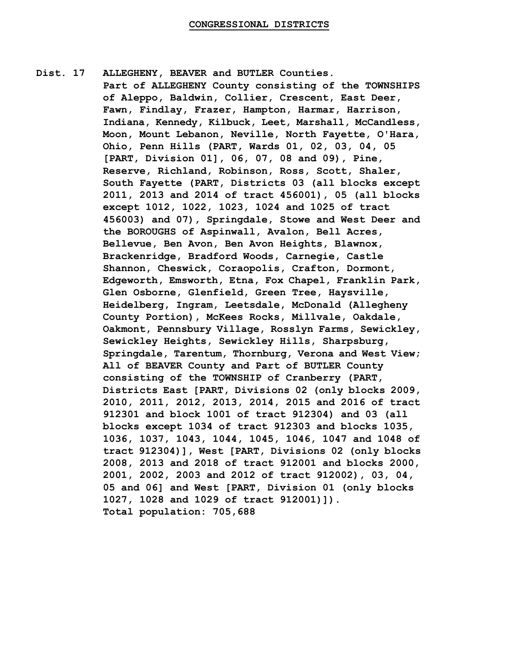**Dist. 17 ALLEGHENY, BEAVER and BUTLER Counties. Part of ALLEGHENY County consisting of the TOWNSHIPS of Aleppo, Baldwin, Collier, Crescent, East Deer, Fawn, Findlay, Frazer, Hampton, Harmar, Harrison, Indiana, Kennedy, Kilbuck, Leet, Marshall, McCandless, Moon, Mount Lebanon, Neville, North Fayette, O'Hara, Ohio, Penn Hills (PART, Wards 01, 02, 03, 04, 05 [PART, Division 01], 06, 07, 08 and 09), Pine, Reserve, Richland, Robinson, Ross, Scott, Shaler, South Fayette (PART, Districts 03 (all blocks except 2011, 2013 and 2014 of tract 456001), 05 (all blocks except 1012, 1022, 1023, 1024 and 1025 of tract 456003) and 07), Springdale, Stowe and West Deer and the BOROUGHS of Aspinwall, Avalon, Bell Acres, Bellevue, Ben Avon, Ben Avon Heights, Blawnox, Brackenridge, Bradford Woods, Carnegie, Castle Shannon, Cheswick, Coraopolis, Crafton, Dormont, Edgeworth, Emsworth, Etna, Fox Chapel, Franklin Park, Glen Osborne, Glenfield, Green Tree, Haysville, Heidelberg, Ingram, Leetsdale, McDonald (Allegheny County Portion), McKees Rocks, Millvale, Oakdale, Oakmont, Pennsbury Village, Rosslyn Farms, Sewickley, Sewickley Heights, Sewickley Hills, Sharpsburg, Springdale, Tarentum, Thornburg, Verona and West View; All of BEAVER County and Part of BUTLER County consisting of the TOWNSHIP of Cranberry (PART, Districts East [PART, Divisions 02 (only blocks 2009,**

> **912301 and block 1001 of tract 912304) and 03 (all blocks except 1034 of tract 912303 and blocks 1035, 1036, 1037, 1043, 1044, 1045, 1046, 1047 and 1048 of tract 912304)], West [PART, Divisions 02 (only blocks 2008, 2013 and 2018 of tract 912001 and blocks 2000, 2001, 2002, 2003 and 2012 of tract 912002), 03, 04, 05 and 06] and West [PART, Division 01 (only blocks 1027, 1028 and 1029 of tract 912001)]). Total population: 705,688**

> **2010, 2011, 2012, 2013, 2014, 2015 and 2016 of tract**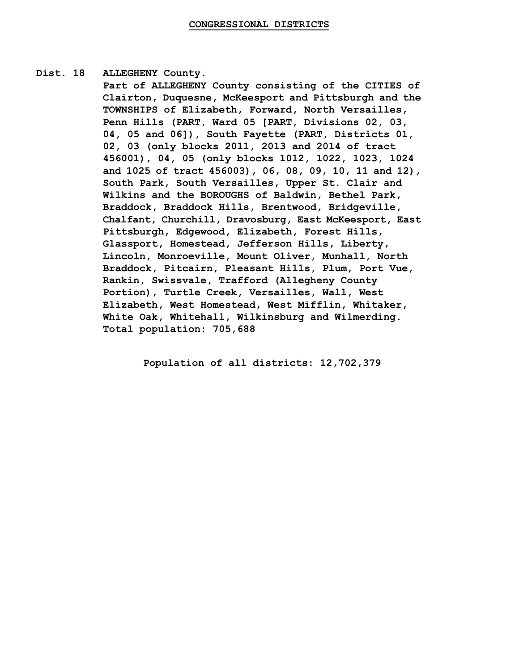## **Dist. 18 ALLEGHENY County.**

**Part of ALLEGHENY County consisting of the CITIES of Clairton, Duquesne, McKeesport and Pittsburgh and the TOWNSHIPS of Elizabeth, Forward, North Versailles, Penn Hills (PART, Ward 05 [PART, Divisions 02, 03, 04, 05 and 06]), South Fayette (PART, Districts 01, 02, 03 (only blocks 2011, 2013 and 2014 of tract 456001), 04, 05 (only blocks 1012, 1022, 1023, 1024 and 1025 of tract 456003), 06, 08, 09, 10, 11 and 12), South Park, South Versailles, Upper St. Clair and Wilkins and the BOROUGHS of Baldwin, Bethel Park, Braddock, Braddock Hills, Brentwood, Bridgeville, Chalfant, Churchill, Dravosburg, East McKeesport, East Pittsburgh, Edgewood, Elizabeth, Forest Hills, Glassport, Homestead, Jefferson Hills, Liberty, Lincoln, Monroeville, Mount Oliver, Munhall, North Braddock, Pitcairn, Pleasant Hills, Plum, Port Vue, Rankin, Swissvale, Trafford (Allegheny County Portion), Turtle Creek, Versailles, Wall, West Elizabeth, West Homestead, West Mifflin, Whitaker, White Oak, Whitehall, Wilkinsburg and Wilmerding. Total population: 705,688**

**Population of all districts: 12,702,379**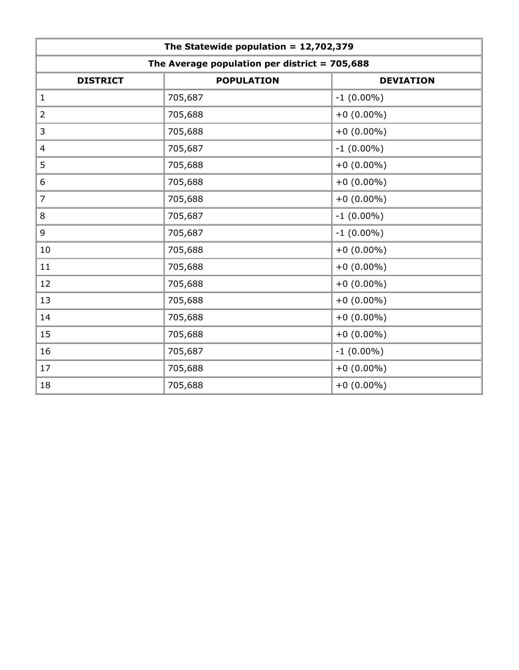| The Statewide population = $12,702,379$         |                   |                  |  |
|-------------------------------------------------|-------------------|------------------|--|
| The Average population per district = $705,688$ |                   |                  |  |
| <b>DISTRICT</b>                                 | <b>POPULATION</b> | <b>DEVIATION</b> |  |
| $\mathbf{1}$                                    | 705,687           | $-1$ (0.00%)     |  |
| $\overline{2}$                                  | 705,688           | $+0$ (0.00%)     |  |
| $\mathsf{3}$                                    | 705,688           | $+0$ (0.00%)     |  |
| $\overline{4}$                                  | 705,687           | $-1$ (0.00%)     |  |
| 5                                               | 705,688           | $+0$ (0.00%)     |  |
| 6                                               | 705,688           | $+0$ (0.00%)     |  |
| $\overline{7}$                                  | 705,688           | $+0$ (0.00%)     |  |
| 8                                               | 705,687           | $-1$ (0.00%)     |  |
| 9                                               | 705,687           | $-1$ (0.00%)     |  |
| 10                                              | 705,688           | $+0$ (0.00%)     |  |
| 11                                              | 705,688           | $+0$ (0.00%)     |  |
| 12                                              | 705,688           | $+0$ (0.00%)     |  |
| 13                                              | 705,688           | $+0$ (0.00%)     |  |
| 14                                              | 705,688           | $+0$ (0.00%)     |  |
| 15                                              | 705,688           | $+0$ (0.00%)     |  |
| 16                                              | 705,687           | $-1$ (0.00%)     |  |
| 17                                              | 705,688           | $+0$ (0.00%)     |  |
| 18                                              | 705,688           | $+0$ (0.00%)     |  |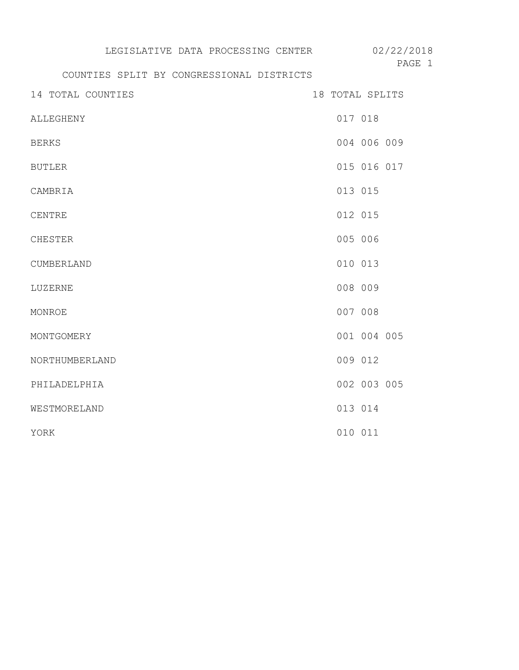| LEGISLATIVE DATA PROCESSING CENTER        | 02/22/2018<br>PAGE 1 |
|-------------------------------------------|----------------------|
| COUNTIES SPLIT BY CONGRESSIONAL DISTRICTS |                      |
| 14 TOTAL COUNTIES                         | 18 TOTAL SPLITS      |
| ALLEGHENY                                 | 017 018              |
| <b>BERKS</b>                              | 004 006 009          |
| <b>BUTLER</b>                             | 015 016 017          |
| CAMBRIA                                   | 013 015              |
| CENTRE                                    | 012 015              |
| CHESTER                                   | 005 006              |
| CUMBERLAND                                | 010 013              |
| LUZERNE                                   | 008 009              |
| MONROE                                    | 007 008              |
| MONTGOMERY                                | 001 004 005          |
| NORTHUMBERLAND                            | 009 012              |
| PHILADELPHIA                              | 002 003 005          |
| WESTMORELAND                              | 013 014              |
| YORK                                      | 010 011              |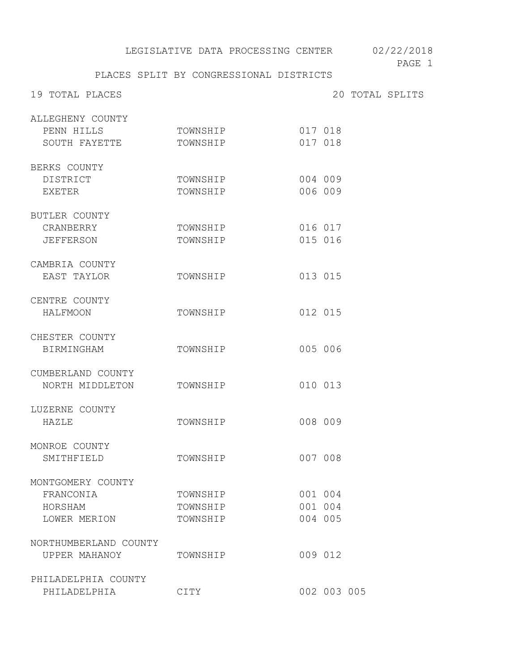LEGISLATIVE DATA PROCESSING CENTER 02/22/2018

PAGE 1

PLACES SPLIT BY CONGRESSIONAL DISTRICTS

19 TOTAL PLACES 20 TOTAL SPLITS

| ALLEGHENY COUNTY      |          |             |  |
|-----------------------|----------|-------------|--|
| PENN HILLS            | TOWNSHIP | 017 018     |  |
| SOUTH FAYETTE         | TOWNSHIP | 017 018     |  |
| BERKS COUNTY          |          |             |  |
| DISTRICT              | TOWNSHIP | 004 009     |  |
| EXETER                | TOWNSHIP | 006 009     |  |
| BUTLER COUNTY         |          |             |  |
| CRANBERRY             | TOWNSHIP | 016 017     |  |
| <b>JEFFERSON</b>      | TOWNSHIP | 015 016     |  |
| CAMBRIA COUNTY        |          |             |  |
| EAST TAYLOR           | TOWNSHIP | 013 015     |  |
| CENTRE COUNTY         |          |             |  |
| HALFMOON              | TOWNSHIP | 012 015     |  |
| CHESTER COUNTY        |          |             |  |
| <b>BIRMINGHAM</b>     | TOWNSHIP | 005 006     |  |
| CUMBERLAND COUNTY     |          |             |  |
| NORTH MIDDLETON       | TOWNSHIP | 010 013     |  |
| LUZERNE COUNTY        |          |             |  |
| HAZLE                 | TOWNSHIP | 008 009     |  |
| MONROE COUNTY         |          |             |  |
| SMITHFIELD            | TOWNSHIP | 007 008     |  |
| MONTGOMERY COUNTY     |          |             |  |
| FRANCONIA             | TOWNSHIP | 001 004     |  |
| HORSHAM               | TOWNSHIP | 001 004     |  |
| LOWER MERION          | TOWNSHIP | 004 005     |  |
| NORTHUMBERLAND COUNTY |          |             |  |
| UPPER MAHANOY         | TOWNSHIP | 009 012     |  |
| PHILADELPHIA COUNTY   |          |             |  |
| PHILADELPHIA          | CITY     | 002 003 005 |  |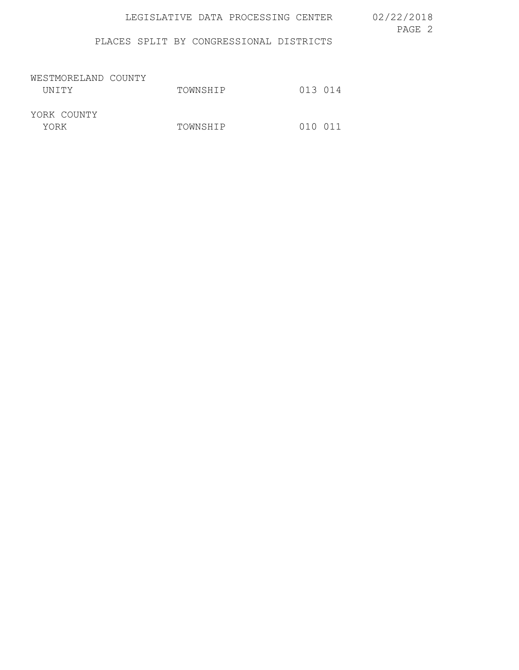LEGISLATIVE DATA PROCESSING CENTER 02/22/2018

PAGE 2

PLACES SPLIT BY CONGRESSIONAL DISTRICTS

| WESTMORELAND COUNTY |          |         |
|---------------------|----------|---------|
| UNTTY               | TOWNSHIP | 013 014 |
|                     |          |         |
| YORK COUNTY         |          |         |
| YORK                | TOWNSHIP | 010 011 |
|                     |          |         |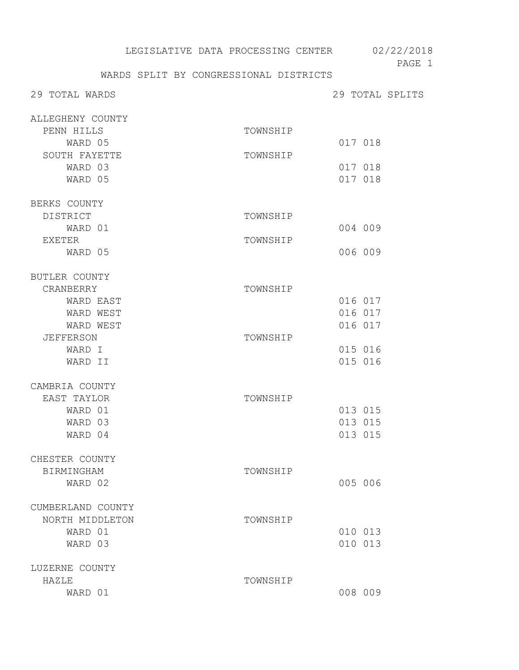PAGE 1

WARDS SPLIT BY CONGRESSIONAL DISTRICTS

| 29 TOTAL WARDS                 |          |         | 29 TOTAL SPLITS |
|--------------------------------|----------|---------|-----------------|
| ALLEGHENY COUNTY<br>PENN HILLS | TOWNSHIP |         |                 |
| WARD 05                        |          | 017 018 |                 |
| SOUTH FAYETTE                  | TOWNSHIP |         |                 |
| WARD 03                        |          | 017 018 |                 |
| WARD 05                        |          | 017 018 |                 |
| BERKS COUNTY                   |          |         |                 |
| DISTRICT                       | TOWNSHIP |         |                 |
| WARD 01                        |          | 004 009 |                 |
| EXETER                         | TOWNSHIP |         |                 |
| WARD 05                        |          | 006 009 |                 |
| BUTLER COUNTY                  |          |         |                 |
| CRANBERRY                      | TOWNSHIP |         |                 |
| WARD EAST                      |          | 016 017 |                 |
| WARD WEST                      |          | 016 017 |                 |
| WARD WEST                      |          | 016 017 |                 |
| JEFFERSON                      | TOWNSHIP |         |                 |
| WARD I                         |          | 015 016 |                 |
| WARD II                        |          | 015 016 |                 |
|                                |          |         |                 |
| CAMBRIA COUNTY                 |          |         |                 |
| EAST TAYLOR                    | TOWNSHIP |         |                 |
| WARD 01                        |          | 013 015 |                 |
| WARD 03                        |          | 013 015 |                 |
| WARD 04                        |          | 013 015 |                 |
| CHESTER COUNTY                 |          |         |                 |
| BIRMINGHAM                     | TOWNSHIP |         |                 |
| WARD 02                        |          | 005 006 |                 |
| CUMBERLAND COUNTY              |          |         |                 |
| NORTH MIDDLETON                | TOWNSHIP |         |                 |
| WARD 01                        |          | 010 013 |                 |
| WARD 03                        |          | 010 013 |                 |
|                                |          |         |                 |
| LUZERNE COUNTY                 |          |         |                 |
| HAZLE                          | TOWNSHIP |         |                 |
| WARD 01                        |          | 008 009 |                 |